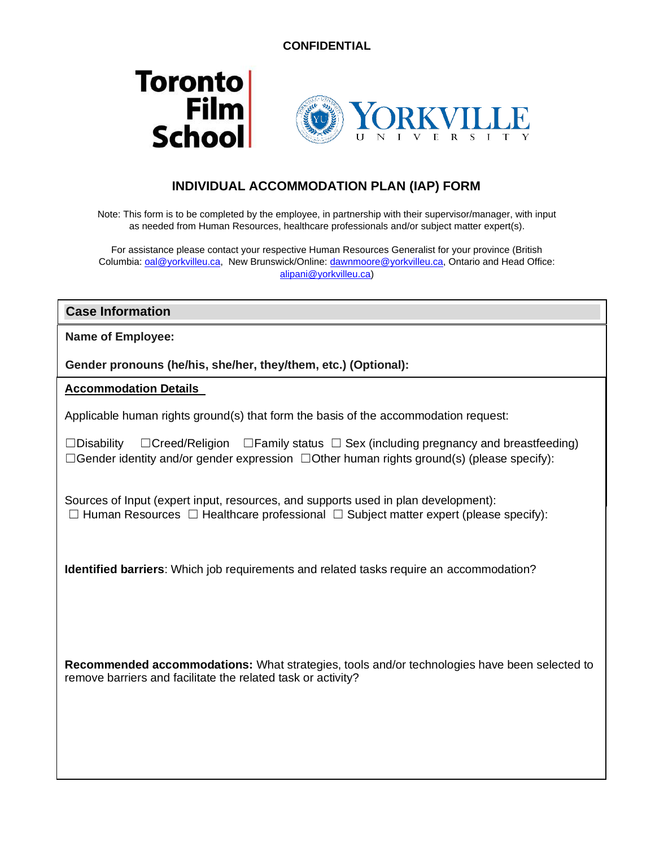



## **INDIVIDUAL ACCOMMODATION PLAN (IAP) FORM**

Note: This form is to be completed by the employee, in partnership with their supervisor/manager, with input as needed from Human Resources, healthcare professionals and/or subject matter expert(s).

For assistance please contact your respective Human Resources Generalist for your province (British Columbia: [oal@yorkvilleu.ca,](mailto:oal@yorkvilleu.ca) New Brunswick/Online[: dawnmoore@yorkvilleu.ca,](mailto:dawnmoore@yorkvilleu.ca) Ontario and Head Office: [alipani@yorkvilleu.ca\)](mailto:alipani@yorkvilleu.ca)

**Case Information**

**Name of Employee:** 

**Gender pronouns (he/his, she/her, they/them, etc.) (Optional):** 

**Position and Department/Program: Accommodation Details** 

**Contact information:**  Applicable human rights ground(s) that form the basis of the accommodation request:

**Supervisor/Manager Name:** ☐Gender identity and/or gender expression ☐Other human rights ground(s) (please specify): ☐Disability ☐Creed/Religion ☐Family status ☐ Sex (including pregnancy and breastfeeding)

Sources of Input (expert input, resources, and supports used in plan development): ☐ Human Resources ☐ Healthcare professional ☐ Subject matter expert (please specify):

**Identified barriers**: Which job requirements and related tasks require an accommodation?

**Recommended accommodations:** What strategies, tools and/or technologies have been selected to remove barriers and facilitate the related task or activity?